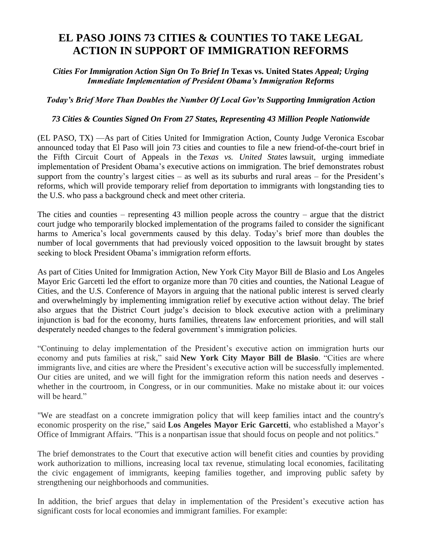## **EL PASO JOINS 73 CITIES & COUNTIES TO TAKE LEGAL ACTION IN SUPPORT OF IMMIGRATION REFORMS**

## *Cities For Immigration Action Sign On To Brief In* **Texas vs. United States** *Appeal; Urging Immediate Implementation of President Obama's Immigration Reforms*

## *Today's Brief More Than Doubles the Number Of Local Gov'ts Supporting Immigration Action*

## *73 Cities & Counties Signed On From 27 States, Representing 43 Million People Nationwide*

(EL PASO, TX) —As part of Cities United for Immigration Action, County Judge Veronica Escobar announced today that El Paso will join 73 cities and counties to file a new friend-of-the-court brief in the Fifth Circuit Court of Appeals in the *Texas vs. United States* lawsuit, urging immediate implementation of President Obama's executive actions on immigration. The brief demonstrates robust support from the country's largest cities – as well as its suburbs and rural areas – for the President's reforms, which will provide temporary relief from deportation to immigrants with longstanding ties to the U.S. who pass a background check and meet other criteria.

The cities and counties – representing 43 million people across the country – argue that the district court judge who temporarily blocked implementation of the programs failed to consider the significant harms to America's local governments caused by this delay. Today's brief more than doubles the number of local governments that had previously voiced opposition to the lawsuit brought by states seeking to block President Obama's immigration reform efforts.

As part of Cities United for Immigration Action, New York City Mayor Bill de Blasio and Los Angeles Mayor Eric Garcetti led the effort to organize more than 70 cities and counties, the National League of Cities, and the U.S. Conference of Mayors in arguing that the national public interest is served clearly and overwhelmingly by implementing immigration relief by executive action without delay. The brief also argues that the District Court judge's decision to block executive action with a preliminary injunction is bad for the economy, hurts families, threatens law enforcement priorities, and will stall desperately needed changes to the federal government's immigration policies.

"Continuing to delay implementation of the President's executive action on immigration hurts our economy and puts families at risk," said **New York City Mayor Bill de Blasio**. "Cities are where immigrants live, and cities are where the President's executive action will be successfully implemented. Our cities are united, and we will fight for the immigration reform this nation needs and deserves whether in the courtroom, in Congress, or in our communities. Make no mistake about it: our voices will be heard."

"We are steadfast on a concrete immigration policy that will keep families intact and the country's economic prosperity on the rise," said **Los Angeles Mayor Eric Garcetti**, who established a Mayor's Office of Immigrant Affairs. "This is a nonpartisan issue that should focus on people and not politics."

The brief demonstrates to the Court that executive action will benefit cities and counties by providing work authorization to millions, increasing local tax revenue, stimulating local economies, facilitating the civic engagement of immigrants, keeping families together, and improving public safety by strengthening our neighborhoods and communities.

In addition, the brief argues that delay in implementation of the President's executive action has significant costs for local economies and immigrant families. For example: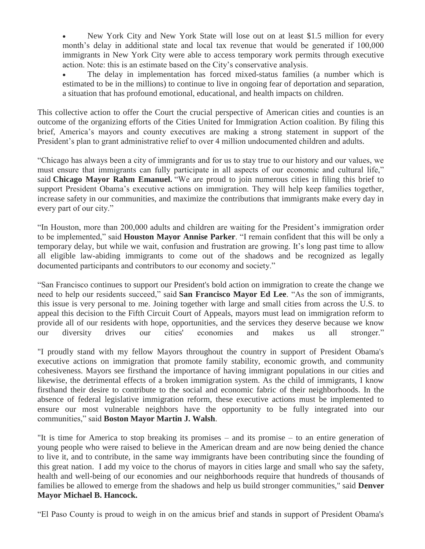New York City and New York State will lose out on at least \$1.5 million for every month's delay in additional state and local tax revenue that would be generated if 100,000 immigrants in New York City were able to access temporary work permits through executive action. Note: this is an estimate based on the City's conservative analysis.

 The delay in implementation has forced mixed-status families (a number which is estimated to be in the millions) to continue to live in ongoing fear of deportation and separation, a situation that has profound emotional, educational, and health impacts on children.

This collective action to offer the Court the crucial perspective of American cities and counties is an outcome of the organizing efforts of the Cities United for Immigration Action coalition. By filing this brief, America's mayors and county executives are making a strong statement in support of the President's plan to grant administrative relief to over 4 million undocumented children and adults.

"Chicago has always been a city of immigrants and for us to stay true to our history and our values, we must ensure that immigrants can fully participate in all aspects of our economic and cultural life," said **Chicago Mayor Rahm Emanuel.** "We are proud to join numerous cities in filing this brief to support President Obama's executive actions on immigration. They will help keep families together, increase safety in our communities, and maximize the contributions that immigrants make every day in every part of our city."

"In Houston, more than 200,000 adults and children are waiting for the President's immigration order to be implemented," said **Houston Mayor Annise Parker**. "I remain confident that this will be only a temporary delay, but while we wait, confusion and frustration are growing. It's long past time to allow all eligible law-abiding immigrants to come out of the shadows and be recognized as legally documented participants and contributors to our economy and society."

"San Francisco continues to support our President's bold action on immigration to create the change we need to help our residents succeed," said **San Francisco Mayor Ed Lee**. "As the son of immigrants, this issue is very personal to me. Joining together with large and small cities from across the U.S. to appeal this decision to the Fifth Circuit Court of Appeals, mayors must lead on immigration reform to provide all of our residents with hope, opportunities, and the services they deserve because we know our diversity drives our cities' economies and makes us all stronger."

"I proudly stand with my fellow Mayors throughout the country in support of President Obama's executive actions on immigration that promote family stability, economic growth, and community cohesiveness. Mayors see firsthand the importance of having immigrant populations in our cities and likewise, the detrimental effects of a broken immigration system. As the child of immigrants, I know firsthand their desire to contribute to the social and economic fabric of their neighborhoods. In the absence of federal legislative immigration reform, these executive actions must be implemented to ensure our most vulnerable neighbors have the opportunity to be fully integrated into our communities," said **Boston Mayor Martin J. Walsh**.

"It is time for America to stop breaking its promises – and its promise – to an entire generation of young people who were raised to believe in the American dream and are now being denied the chance to live it, and to contribute, in the same way immigrants have been contributing since the founding of this great nation. I add my voice to the chorus of mayors in cities large and small who say the safety, health and well-being of our economies and our neighborhoods require that hundreds of thousands of families be allowed to emerge from the shadows and help us build stronger communities," said **Denver Mayor Michael B. Hancock.**

"El Paso County is proud to weigh in on the amicus brief and stands in support of President Obama's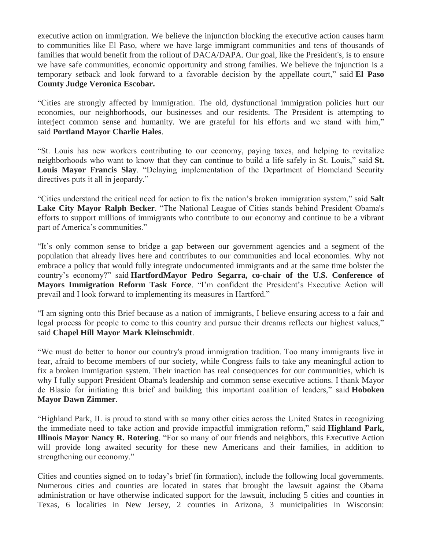executive action on immigration. We believe the injunction blocking the executive action causes harm to communities like El Paso, where we have large immigrant communities and tens of thousands of families that would benefit from the rollout of DACA/DAPA. Our goal, like the President's, is to ensure we have safe communities, economic opportunity and strong families. We believe the injunction is a temporary setback and look forward to a favorable decision by the appellate court," said **El Paso County Judge Veronica Escobar.**

"Cities are strongly affected by immigration. The old, dysfunctional immigration policies hurt our economies, our neighborhoods, our businesses and our residents. The President is attempting to interject common sense and humanity. We are grateful for his efforts and we stand with him," said **Portland Mayor Charlie Hales**.

"St. Louis has new workers contributing to our economy, paying taxes, and helping to revitalize neighborhoods who want to know that they can continue to build a life safely in St. Louis," said **St. Louis Mayor Francis Slay**. "Delaying implementation of the Department of Homeland Security directives puts it all in jeopardy."

"Cities understand the critical need for action to fix the nation's broken immigration system," said **Salt Lake City Mayor Ralph Becker**. "The National League of Cities stands behind President Obama's efforts to support millions of immigrants who contribute to our economy and continue to be a vibrant part of America's communities."

"It's only common sense to bridge a gap between our government agencies and a segment of the population that already lives here and contributes to our communities and local economies. Why not embrace a policy that would fully integrate undocumented immigrants and at the same time bolster the country's economy?" said **HartfordMayor Pedro Segarra, co-chair of the U.S. Conference of Mayors Immigration Reform Task Force**. "I'm confident the President's Executive Action will prevail and I look forward to implementing its measures in Hartford."

"I am signing onto this Brief because as a nation of immigrants, I believe ensuring access to a fair and legal process for people to come to this country and pursue their dreams reflects our highest values," said **Chapel Hill Mayor Mark Kleinschmidt**.

"We must do better to honor our country's proud immigration tradition. Too many immigrants live in fear, afraid to become members of our society, while Congress fails to take any meaningful action to fix a broken immigration system. Their inaction has real consequences for our communities, which is why I fully support President Obama's leadership and common sense executive actions. I thank Mayor de Blasio for initiating this brief and building this important coalition of leaders," said **Hoboken Mayor Dawn Zimmer**.

"Highland Park, IL is proud to stand with so many other cities across the United States in recognizing the immediate need to take action and provide impactful immigration reform," said **Highland Park, Illinois Mayor Nancy R. Rotering**. "For so many of our friends and neighbors, this Executive Action will provide long awaited security for these new Americans and their families, in addition to strengthening our economy."

Cities and counties signed on to today's brief (in formation), include the following local governments. Numerous cities and counties are located in states that brought the lawsuit against the Obama administration or have otherwise indicated support for the lawsuit, including 5 cities and counties in Texas, 6 localities in New Jersey, 2 counties in Arizona, 3 municipalities in Wisconsin: